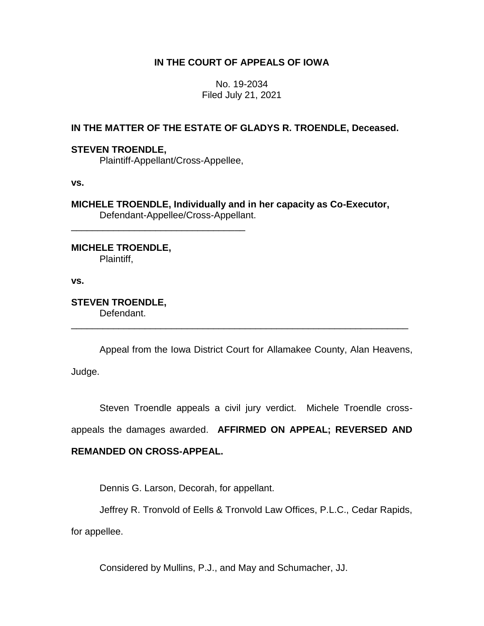# **IN THE COURT OF APPEALS OF IOWA**

No. 19-2034 Filed July 21, 2021

# **IN THE MATTER OF THE ESTATE OF GLADYS R. TROENDLE, Deceased.**

## **STEVEN TROENDLE,**

Plaintiff-Appellant/Cross-Appellee,

\_\_\_\_\_\_\_\_\_\_\_\_\_\_\_\_\_\_\_\_\_\_\_\_\_\_\_\_\_\_\_\_\_

**vs.**

**MICHELE TROENDLE, Individually and in her capacity as Co-Executor,** Defendant-Appellee/Cross-Appellant.

## **MICHELE TROENDLE,**

Plaintiff,

**vs.**

#### **STEVEN TROENDLE,** Defendant.

Appeal from the Iowa District Court for Allamakee County, Alan Heavens, Judge.

\_\_\_\_\_\_\_\_\_\_\_\_\_\_\_\_\_\_\_\_\_\_\_\_\_\_\_\_\_\_\_\_\_\_\_\_\_\_\_\_\_\_\_\_\_\_\_\_\_\_\_\_\_\_\_\_\_\_\_\_\_\_\_\_

Steven Troendle appeals a civil jury verdict. Michele Troendle cross-

appeals the damages awarded. **AFFIRMED ON APPEAL; REVERSED AND** 

# **REMANDED ON CROSS-APPEAL.**

Dennis G. Larson, Decorah, for appellant.

Jeffrey R. Tronvold of Eells & Tronvold Law Offices, P.L.C., Cedar Rapids,

for appellee.

Considered by Mullins, P.J., and May and Schumacher, JJ.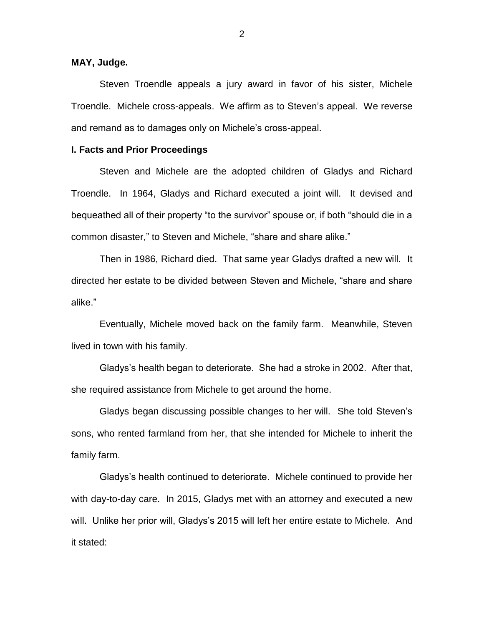## **MAY, Judge.**

Steven Troendle appeals a jury award in favor of his sister, Michele Troendle. Michele cross-appeals. We affirm as to Steven's appeal. We reverse and remand as to damages only on Michele's cross-appeal.

### **I. Facts and Prior Proceedings**

Steven and Michele are the adopted children of Gladys and Richard Troendle. In 1964, Gladys and Richard executed a joint will. It devised and bequeathed all of their property "to the survivor" spouse or, if both "should die in a common disaster," to Steven and Michele, "share and share alike."

Then in 1986, Richard died. That same year Gladys drafted a new will. It directed her estate to be divided between Steven and Michele, "share and share alike."

Eventually, Michele moved back on the family farm. Meanwhile, Steven lived in town with his family.

Gladys's health began to deteriorate. She had a stroke in 2002. After that, she required assistance from Michele to get around the home.

Gladys began discussing possible changes to her will. She told Steven's sons, who rented farmland from her, that she intended for Michele to inherit the family farm.

Gladys's health continued to deteriorate. Michele continued to provide her with day-to-day care. In 2015, Gladys met with an attorney and executed a new will. Unlike her prior will, Gladys's 2015 will left her entire estate to Michele. And it stated: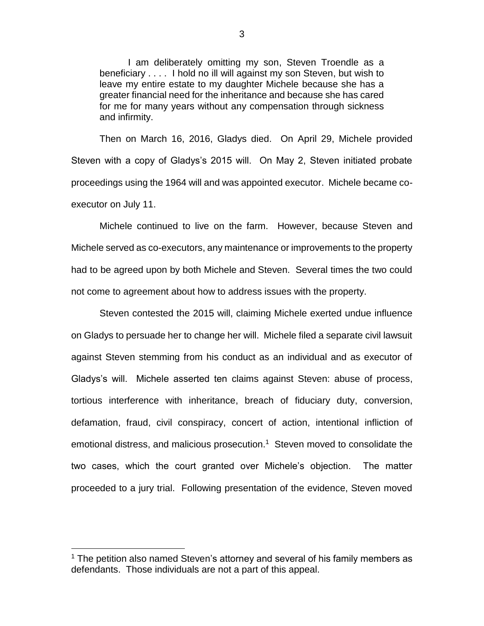I am deliberately omitting my son, Steven Troendle as a beneficiary . . . . I hold no ill will against my son Steven, but wish to leave my entire estate to my daughter Michele because she has a greater financial need for the inheritance and because she has cared for me for many years without any compensation through sickness and infirmity.

Then on March 16, 2016, Gladys died. On April 29, Michele provided Steven with a copy of Gladys's 2015 will. On May 2, Steven initiated probate proceedings using the 1964 will and was appointed executor. Michele became coexecutor on July 11.

Michele continued to live on the farm. However, because Steven and Michele served as co-executors, any maintenance or improvements to the property had to be agreed upon by both Michele and Steven. Several times the two could not come to agreement about how to address issues with the property.

Steven contested the 2015 will, claiming Michele exerted undue influence on Gladys to persuade her to change her will. Michele filed a separate civil lawsuit against Steven stemming from his conduct as an individual and as executor of Gladys's will. Michele asserted ten claims against Steven: abuse of process, tortious interference with inheritance, breach of fiduciary duty, conversion, defamation, fraud, civil conspiracy, concert of action, intentional infliction of emotional distress, and malicious prosecution.<sup>1</sup> Steven moved to consolidate the two cases, which the court granted over Michele's objection. The matter proceeded to a jury trial. Following presentation of the evidence, Steven moved

 $\overline{a}$ 

 $1$  The petition also named Steven's attorney and several of his family members as defendants. Those individuals are not a part of this appeal.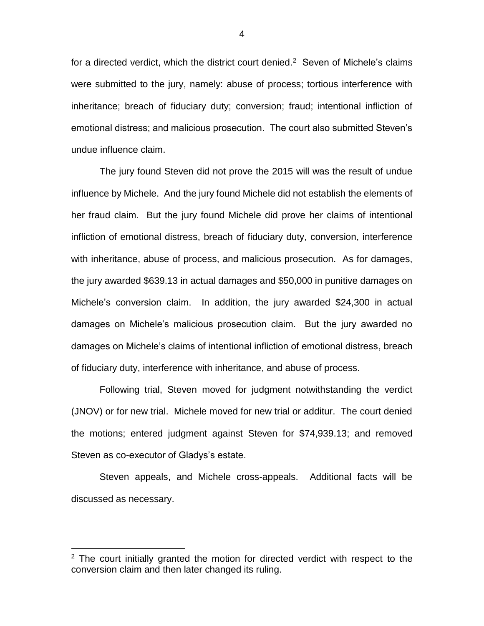for a directed verdict, which the district court denied.<sup>2</sup> Seven of Michele's claims were submitted to the jury, namely: abuse of process; tortious interference with inheritance; breach of fiduciary duty; conversion; fraud; intentional infliction of emotional distress; and malicious prosecution. The court also submitted Steven's undue influence claim.

The jury found Steven did not prove the 2015 will was the result of undue influence by Michele. And the jury found Michele did not establish the elements of her fraud claim. But the jury found Michele did prove her claims of intentional infliction of emotional distress, breach of fiduciary duty, conversion, interference with inheritance, abuse of process, and malicious prosecution. As for damages, the jury awarded \$639.13 in actual damages and \$50,000 in punitive damages on Michele's conversion claim. In addition, the jury awarded \$24,300 in actual damages on Michele's malicious prosecution claim. But the jury awarded no damages on Michele's claims of intentional infliction of emotional distress, breach of fiduciary duty, interference with inheritance, and abuse of process.

Following trial, Steven moved for judgment notwithstanding the verdict (JNOV) or for new trial. Michele moved for new trial or additur. The court denied the motions; entered judgment against Steven for \$74,939.13; and removed Steven as co-executor of Gladys's estate.

Steven appeals, and Michele cross-appeals. Additional facts will be discussed as necessary.

 $\overline{a}$ 

 $2$  The court initially granted the motion for directed verdict with respect to the conversion claim and then later changed its ruling.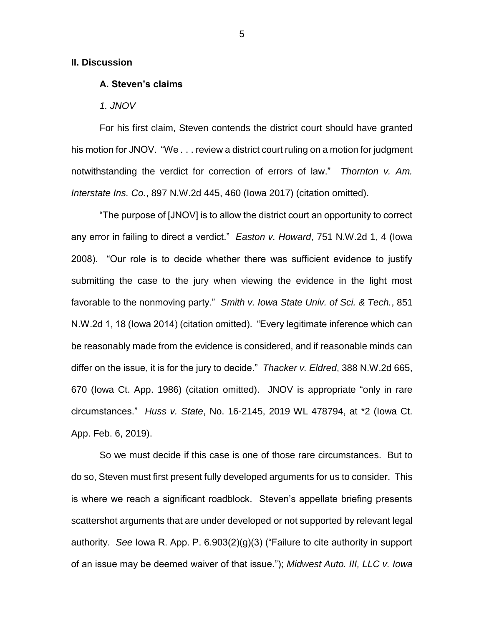#### **II. Discussion**

## **A. Steven's claims**

*1. JNOV*

For his first claim, Steven contends the district court should have granted his motion for JNOV. "We . . . review a district court ruling on a motion for judgment notwithstanding the verdict for correction of errors of law." *Thornton v. Am. Interstate Ins. Co.*, 897 N.W.2d 445, 460 (Iowa 2017) (citation omitted).

"The purpose of [JNOV] is to allow the district court an opportunity to correct any error in failing to direct a verdict." *Easton v. Howard*, 751 N.W.2d 1, 4 (Iowa 2008). "Our role is to decide whether there was sufficient evidence to justify submitting the case to the jury when viewing the evidence in the light most favorable to the nonmoving party." *Smith v. Iowa State Univ. of Sci. & Tech.*, 851 N.W.2d 1, 18 (Iowa 2014) (citation omitted). "Every legitimate inference which can be reasonably made from the evidence is considered, and if reasonable minds can differ on the issue, it is for the jury to decide." *Thacker v. Eldred*, 388 N.W.2d 665, 670 (Iowa Ct. App. 1986) (citation omitted). JNOV is appropriate "only in rare circumstances." *Huss v. State*, No. 16-2145, 2019 WL 478794, at \*2 (Iowa Ct. App. Feb. 6, 2019).

So we must decide if this case is one of those rare circumstances. But to do so, Steven must first present fully developed arguments for us to consider. This is where we reach a significant roadblock. Steven's appellate briefing presents scattershot arguments that are under developed or not supported by relevant legal authority. *See* Iowa R. App. P. 6.903(2)(g)(3) ("Failure to cite authority in support of an issue may be deemed waiver of that issue."); *Midwest Auto. III, LLC v. Iowa*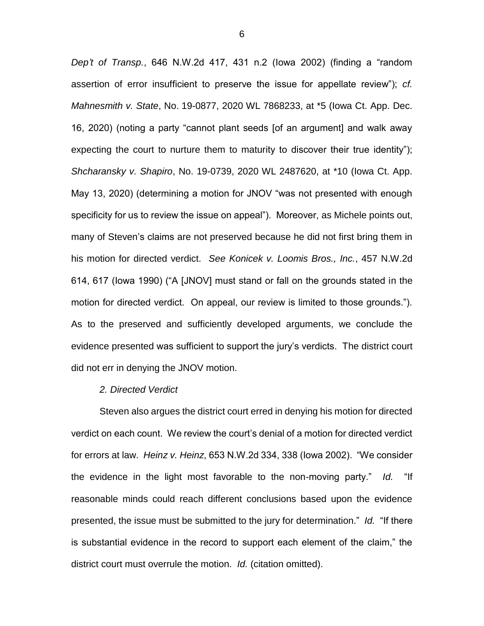*Dep't of Transp.*, 646 N.W.2d 417, 431 n.2 (Iowa 2002) (finding a "random assertion of error insufficient to preserve the issue for appellate review"); *cf. Mahnesmith v. State*, No. 19-0877, 2020 WL 7868233, at \*5 (Iowa Ct. App. Dec. 16, 2020) (noting a party "cannot plant seeds [of an argument] and walk away expecting the court to nurture them to maturity to discover their true identity"); *Shcharansky v. Shapiro*, No. 19-0739, 2020 WL 2487620, at \*10 (Iowa Ct. App. May 13, 2020) (determining a motion for JNOV "was not presented with enough specificity for us to review the issue on appeal"). Moreover, as Michele points out, many of Steven's claims are not preserved because he did not first bring them in his motion for directed verdict. *See Konicek v. Loomis Bros., Inc.*, 457 N.W.2d 614, 617 (Iowa 1990) ("A [JNOV] must stand or fall on the grounds stated in the motion for directed verdict. On appeal, our review is limited to those grounds."). As to the preserved and sufficiently developed arguments, we conclude the evidence presented was sufficient to support the jury's verdicts. The district court did not err in denying the JNOV motion.

### *2. Directed Verdict*

Steven also argues the district court erred in denying his motion for directed verdict on each count. We review the court's denial of a motion for directed verdict for errors at law. *Heinz v. Heinz*, 653 N.W.2d 334, 338 (Iowa 2002). "We consider the evidence in the light most favorable to the non-moving party." *Id.* "If reasonable minds could reach different conclusions based upon the evidence presented, the issue must be submitted to the jury for determination." *Id.* "If there is substantial evidence in the record to support each element of the claim," the district court must overrule the motion. *Id.* (citation omitted).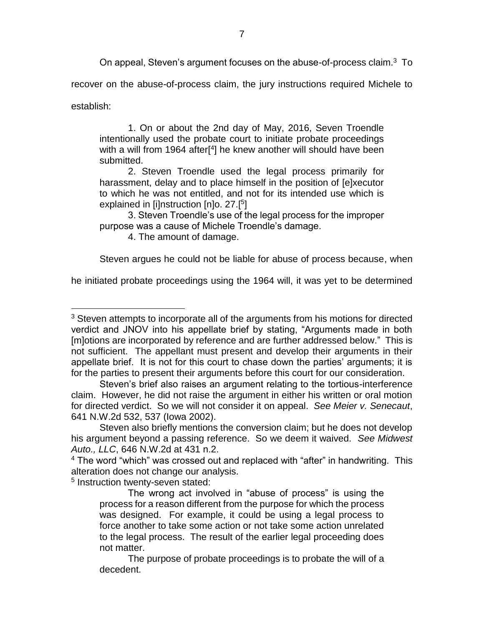On appeal, Steven's argument focuses on the abuse-of-process claim.<sup>3</sup> To

recover on the abuse-of-process claim, the jury instructions required Michele to

establish:

 $\overline{a}$ 

1. On or about the 2nd day of May, 2016, Seven Troendle intentionally used the probate court to initiate probate proceedings with a will from 1964 after<sup>[4</sup>] he knew another will should have been submitted.

2. Steven Troendle used the legal process primarily for harassment, delay and to place himself in the position of [e]xecutor to which he was not entitled, and not for its intended use which is explained in [i]nstruction [n]o. 27.[<sup>5</sup>]

3. Steven Troendle's use of the legal process for the improper purpose was a cause of Michele Troendle's damage.

4. The amount of damage.

Steven argues he could not be liable for abuse of process because, when

he initiated probate proceedings using the 1964 will, it was yet to be determined

<sup>5</sup> Instruction twenty-seven stated:

<sup>&</sup>lt;sup>3</sup> Steven attempts to incorporate all of the arguments from his motions for directed verdict and JNOV into his appellate brief by stating, "Arguments made in both [m]otions are incorporated by reference and are further addressed below." This is not sufficient. The appellant must present and develop their arguments in their appellate brief. It is not for this court to chase down the parties' arguments; it is for the parties to present their arguments before this court for our consideration.

Steven's brief also raises an argument relating to the tortious-interference claim. However, he did not raise the argument in either his written or oral motion for directed verdict. So we will not consider it on appeal. *See Meier v. Senecaut*, 641 N.W.2d 532, 537 (Iowa 2002).

Steven also briefly mentions the conversion claim; but he does not develop his argument beyond a passing reference. So we deem it waived. *See Midwest Auto., LLC*, 646 N.W.2d at 431 n.2.

<sup>&</sup>lt;sup>4</sup> The word "which" was crossed out and replaced with "after" in handwriting. This alteration does not change our analysis.

The wrong act involved in "abuse of process" is using the process for a reason different from the purpose for which the process was designed. For example, it could be using a legal process to force another to take some action or not take some action unrelated to the legal process. The result of the earlier legal proceeding does not matter.

The purpose of probate proceedings is to probate the will of a decedent.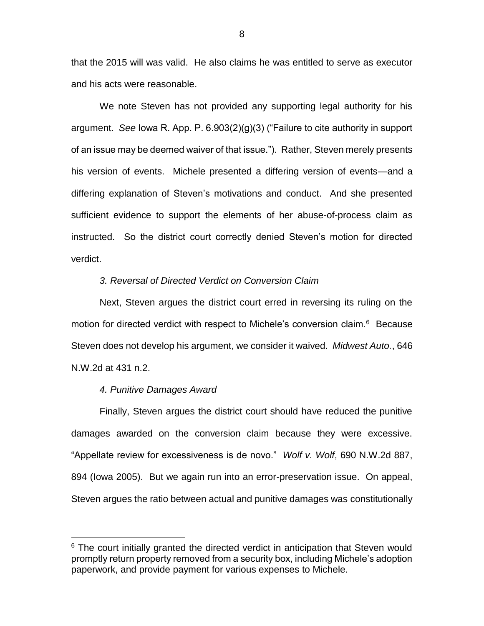that the 2015 will was valid. He also claims he was entitled to serve as executor and his acts were reasonable.

We note Steven has not provided any supporting legal authority for his argument. *See* Iowa R. App. P. 6.903(2)(g)(3) ("Failure to cite authority in support of an issue may be deemed waiver of that issue."). Rather, Steven merely presents his version of events. Michele presented a differing version of events—and a differing explanation of Steven's motivations and conduct. And she presented sufficient evidence to support the elements of her abuse-of-process claim as instructed. So the district court correctly denied Steven's motion for directed verdict.

## *3. Reversal of Directed Verdict on Conversion Claim*

Next, Steven argues the district court erred in reversing its ruling on the motion for directed verdict with respect to Michele's conversion claim.<sup>6</sup> Because Steven does not develop his argument, we consider it waived. *Midwest Auto.*, 646 N.W.2d at 431 n.2.

#### *4. Punitive Damages Award*

 $\overline{a}$ 

Finally, Steven argues the district court should have reduced the punitive damages awarded on the conversion claim because they were excessive. "Appellate review for excessiveness is de novo." *Wolf v. Wolf*, 690 N.W.2d 887, 894 (Iowa 2005). But we again run into an error-preservation issue. On appeal, Steven argues the ratio between actual and punitive damages was constitutionally

 $6$  The court initially granted the directed verdict in anticipation that Steven would promptly return property removed from a security box, including Michele's adoption paperwork, and provide payment for various expenses to Michele.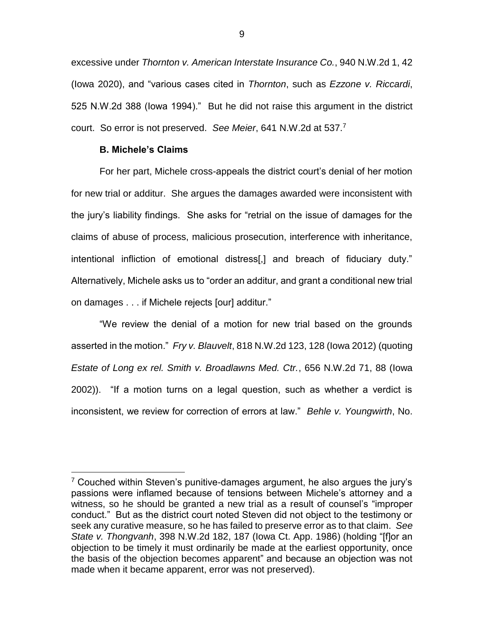excessive under *Thornton v. American Interstate Insurance Co.*, 940 N.W.2d 1, 42 (Iowa 2020), and "various cases cited in *Thornton*, such as *Ezzone v. Riccardi*, 525 N.W.2d 388 (Iowa 1994)." But he did not raise this argument in the district court. So error is not preserved. *See Meier*, 641 N.W.2d at 537.<sup>7</sup>

## **B. Michele's Claims**

 $\overline{a}$ 

For her part, Michele cross-appeals the district court's denial of her motion for new trial or additur. She argues the damages awarded were inconsistent with the jury's liability findings. She asks for "retrial on the issue of damages for the claims of abuse of process, malicious prosecution, interference with inheritance, intentional infliction of emotional distress[,] and breach of fiduciary duty." Alternatively, Michele asks us to "order an additur, and grant a conditional new trial on damages . . . if Michele rejects [our] additur."

"We review the denial of a motion for new trial based on the grounds asserted in the motion." *Fry v. Blauvelt*, 818 N.W.2d 123, 128 (Iowa 2012) (quoting *Estate of Long ex rel. Smith v. Broadlawns Med. Ctr.*, 656 N.W.2d 71, 88 (Iowa 2002)). "If a motion turns on a legal question, such as whether a verdict is inconsistent, we review for correction of errors at law." *Behle v. Youngwirth*, No.

 $7$  Couched within Steven's punitive-damages argument, he also argues the jury's passions were inflamed because of tensions between Michele's attorney and a witness, so he should be granted a new trial as a result of counsel's "improper conduct." But as the district court noted Steven did not object to the testimony or seek any curative measure, so he has failed to preserve error as to that claim. *See State v. Thongvanh*, 398 N.W.2d 182, 187 (Iowa Ct. App. 1986) (holding "[f]or an objection to be timely it must ordinarily be made at the earliest opportunity, once the basis of the objection becomes apparent" and because an objection was not made when it became apparent, error was not preserved).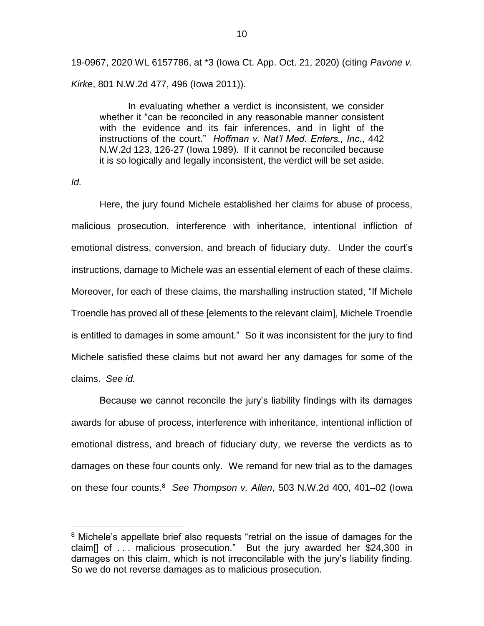19-0967, 2020 WL 6157786, at \*3 (Iowa Ct. App. Oct. 21, 2020) (citing *Pavone v. Kirke*, 801 N.W.2d 477, 496 (Iowa 2011)).

In evaluating whether a verdict is inconsistent, we consider whether it "can be reconciled in any reasonable manner consistent with the evidence and its fair inferences, and in light of the instructions of the court." *Hoffman v. Nat'l Med. Enters., Inc.*, 442 N.W.2d 123, 126-27 (Iowa 1989). If it cannot be reconciled because it is so logically and legally inconsistent, the verdict will be set aside.

*Id.*

 $\overline{a}$ 

Here, the jury found Michele established her claims for abuse of process, malicious prosecution, interference with inheritance, intentional infliction of emotional distress, conversion, and breach of fiduciary duty. Under the court's instructions, damage to Michele was an essential element of each of these claims. Moreover, for each of these claims, the marshalling instruction stated, "If Michele Troendle has proved all of these [elements to the relevant claim], Michele Troendle is entitled to damages in some amount." So it was inconsistent for the jury to find Michele satisfied these claims but not award her any damages for some of the claims. *See id.*

Because we cannot reconcile the jury's liability findings with its damages awards for abuse of process, interference with inheritance, intentional infliction of emotional distress, and breach of fiduciary duty, we reverse the verdicts as to damages on these four counts only. We remand for new trial as to the damages on these four counts.<sup>8</sup> *See Thompson v. Allen*, 503 N.W.2d 400, 401–02 (Iowa

<sup>&</sup>lt;sup>8</sup> Michele's appellate brief also requests "retrial on the issue of damages for the claim<sup>[]</sup> of  $\ldots$  malicious prosecution." But the jury awarded her \$24,300 in damages on this claim, which is not irreconcilable with the jury's liability finding. So we do not reverse damages as to malicious prosecution.